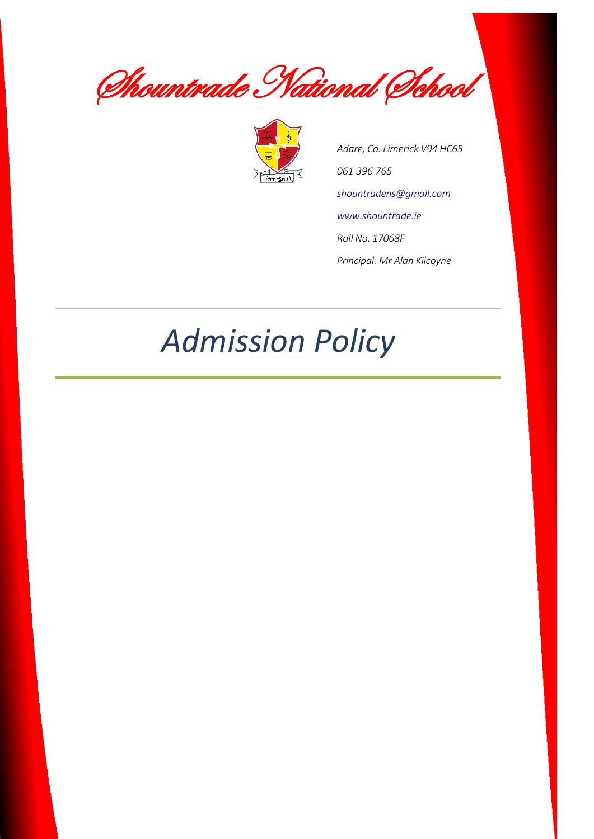Shountrade National School



*Adare, Co. Limerick V94 HC65 061 396 765 [shountradens@gmail.com](mailto:shountradens@gmail.com) [www.shountrade.ie](http://www.shountrade.ie/) Roll No. 17068F Principal: Mr Alan Kilcoyne*

# *Admission Policy*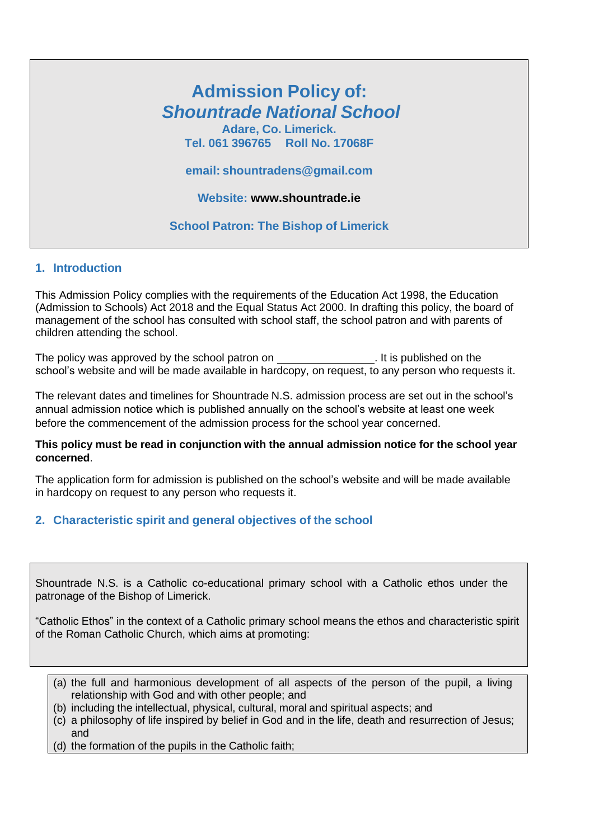## **Admission Policy of:** *Shountrade National School*

**Adare, Co. Limerick. Tel. 061 396765 Roll No. 17068F**

**email: [shountradens@gmail.com](mailto:shountradens@gmail.com)**

**Website: [www.shountrade.ie](http://www.shountrade.ie/)**

**School Patron: The Bishop of Limerick**

#### **1. Introduction**

This Admission Policy complies with the requirements of the Education Act 1998, the Education (Admission to Schools) Act 2018 and the Equal Status Act 2000. In drafting this policy, the board of management of the school has consulted with school staff, the school patron and with parents of children attending the school.

The policy was approved by the school patron on . It is published on the school's website and will be made available in hardcopy, on request, to any person who requests it.

The relevant dates and timelines for Shountrade N.S. admission process are set out in the school's annual admission notice which is published annually on the school's website at least one week before the commencement of the admission process for the school year concerned.

#### **This policy must be read in conjunction with the annual admission notice for the school year concerned**.

The application form for admission is published on the school's website and will be made available in hardcopy on request to any person who requests it.

#### **2. Characteristic spirit and general objectives of the school**

Shountrade N.S. is a Catholic co-educational primary school with a Catholic ethos under the patronage of the Bishop of Limerick.

"Catholic Ethos" in the context of a Catholic primary school means the ethos and characteristic spirit of the Roman Catholic Church, which aims at promoting:

- (a) the full and harmonious development of all aspects of the person of the pupil, a living relationship with God and with other people; and
- (b) including the intellectual, physical, cultural, moral and spiritual aspects; and
- (c) a philosophy of life inspired by belief in God and in the life, death and resurrection of Jesus; and
- (d) the formation of the pupils in the Catholic faith;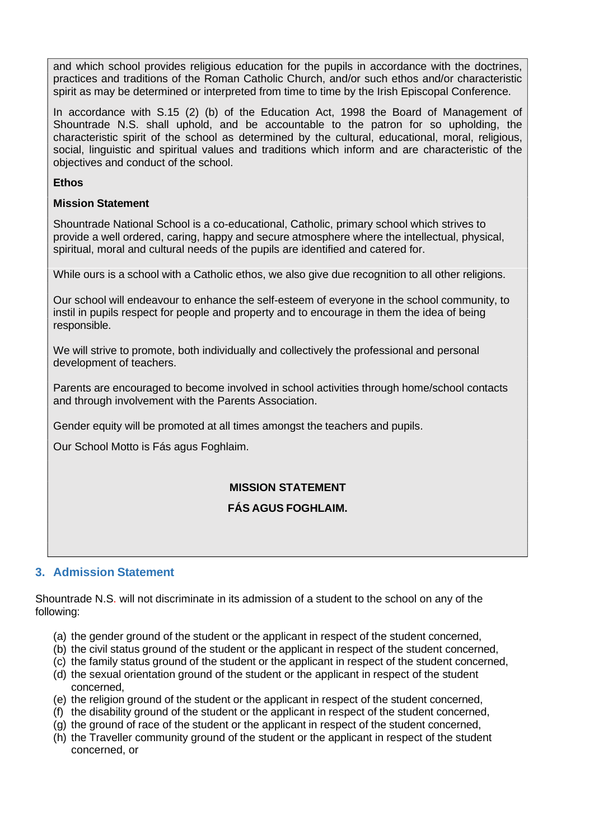and which school provides religious education for the pupils in accordance with the doctrines, practices and traditions of the Roman Catholic Church, and/or such ethos and/or characteristic spirit as may be determined or interpreted from time to time by the Irish Episcopal Conference.

In accordance with S.15 (2) (b) of the Education Act, 1998 the Board of Management of Shountrade N.S. shall uphold, and be accountable to the patron for so upholding, the characteristic spirit of the school as determined by the cultural, educational, moral, religious, social, linguistic and spiritual values and traditions which inform and are characteristic of the objectives and conduct of the school.

#### **Ethos**

#### **Mission Statement**

Shountrade National School is a co-educational, Catholic, primary school which strives to provide a well ordered, caring, happy and secure atmosphere where the intellectual, physical, spiritual, moral and cultural needs of the pupils are identified and catered for.

While ours is a school with a Catholic ethos, we also give due recognition to all other religions.

Our school will endeavour to enhance the self-esteem of everyone in the school community, to instil in pupils respect for people and property and to encourage in them the idea of being responsible.

We will strive to promote, both individually and collectively the professional and personal development of teachers.

Parents are encouraged to become involved in school activities through home/school contacts and through involvement with the Parents Association.

Gender equity will be promoted at all times amongst the teachers and pupils.

Our School Motto is Fás agus Foghlaim.

#### **MISSION STATEMENT**

#### **FÁS AGUS FOGHLAIM.**

#### **3. Admission Statement**

Shountrade N.S. will not discriminate in its admission of a student to the school on any of the following:

- (a) the gender ground of the student or the applicant in respect of the student concerned,
- (b) the civil status ground of the student or the applicant in respect of the student concerned,
- (c) the family status ground of the student or the applicant in respect of the student concerned,
- (d) the sexual orientation ground of the student or the applicant in respect of the student concerned,
- (e) the religion ground of the student or the applicant in respect of the student concerned,
- (f) the disability ground of the student or the applicant in respect of the student concerned,
- (g) the ground of race of the student or the applicant in respect of the student concerned,
- (h) the Traveller community ground of the student or the applicant in respect of the student concerned, or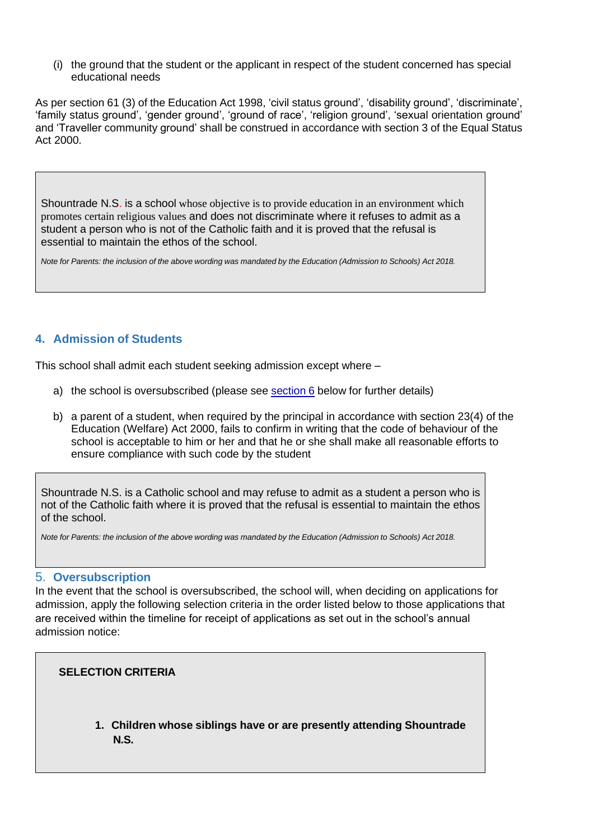(i) the ground that the student or the applicant in respect of the student concerned has special educational needs

As per section 61 (3) of the Education Act 1998, 'civil status ground', 'disability ground', 'discriminate', 'family status ground', 'gender ground', 'ground of race', 'religion ground', 'sexual orientation ground' and 'Traveller community ground' shall be construed in accordance with section 3 of the Equal Status Act 2000.

Shountrade N.S. is a school whose objective is to provide education in an environment which promotes certain religious values and does not discriminate where it refuses to admit as a student a person who is not of the Catholic faith and it is proved that the refusal is essential to maintain the ethos of the school.

Note for Parents: the inclusion of the above wording was mandated by the Education (Admission to Schools) Act 2018.

#### **4. Admission of Students**

This school shall admit each student seeking admission except where –

- a) the school is oversubscribed (please see [section](#page-3-0) 6 below for further details)
- b) a parent of a student, when required by the principal in accordance with section 23(4) of the Education (Welfare) Act 2000, fails to confirm in writing that the code of behaviour of the school is acceptable to him or her and that he or she shall make all reasonable efforts to ensure compliance with such code by the student

Shountrade N.S. is a Catholic school and may refuse to admit as a student a person who is not of the Catholic faith where it is proved that the refusal is essential to maintain the ethos of the school.

Note for Parents: the inclusion of the above wording was mandated by the Education (Admission to Schools) Act 2018.

#### <span id="page-3-0"></span>5. **Oversubscription**

In the event that the school is oversubscribed, the school will, when deciding on applications for admission, apply the following selection criteria in the order listed below to those applications that are received within the timeline for receipt of applications as set out in the school's annual admission notice:

#### **SELECTION CRITERIA**

**1. Children whose siblings have or are presently attending Shountrade N.S.**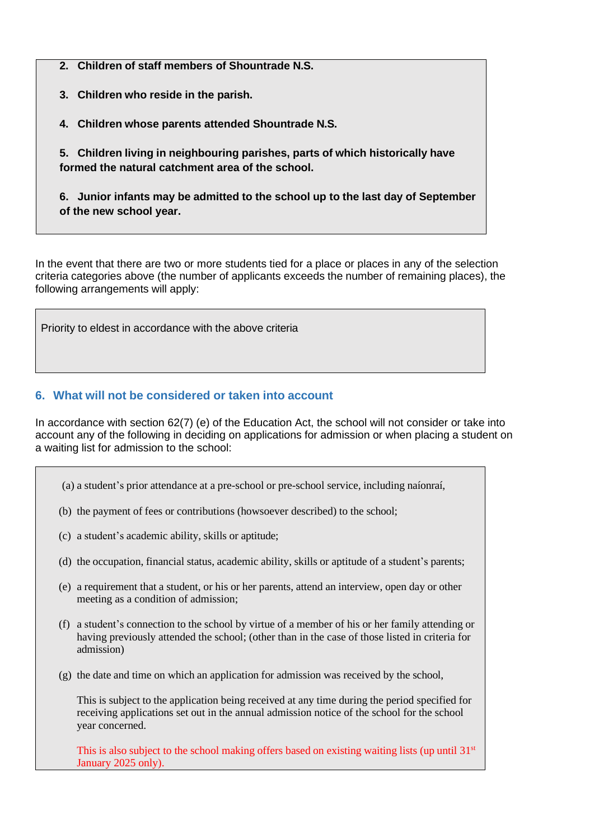**2. Children of staff members of Shountrade N.S.**

**3. Children who reside in the parish.**

**4. Children whose parents attended Shountrade N.S.**

**5. Children living in neighbouring parishes, parts of which historically have formed the natural catchment area of the school.**

**6. Junior infants may be admitted to the school up to the last day of September of the new school year.**

In the event that there are two or more students tied for a place or places in any of the selection criteria categories above (the number of applicants exceeds the number of remaining places), the following arrangements will apply:

Priority to eldest in accordance with the above criteria

#### **6. What will not be considered or taken into account**

In accordance with section 62(7) (e) of the Education Act, the school will not consider or take into account any of the following in deciding on applications for admission or when placing a student on a waiting list for admission to the school:

- (a) a student's prior attendance at a pre-school or pre-school service, including naíonraí,
- (b) the payment of fees or contributions (howsoever described) to the school;
- (c) a student's academic ability, skills or aptitude;
- (d) the occupation, financial status, academic ability, skills or aptitude of a student's parents;
- (e) a requirement that a student, or his or her parents, attend an interview, open day or other meeting as a condition of admission;
- (f) a student's connection to the school by virtue of a member of his or her family attending or having previously attended the school; (other than in the case of those listed in criteria for admission)
- (g) the date and time on which an application for admission was received by the school,

This is subject to the application being received at any time during the period specified for receiving applications set out in the annual admission notice of the school for the school year concerned.

This is also subject to the school making offers based on existing waiting lists (up until  $31<sup>st</sup>$ January 2025 only).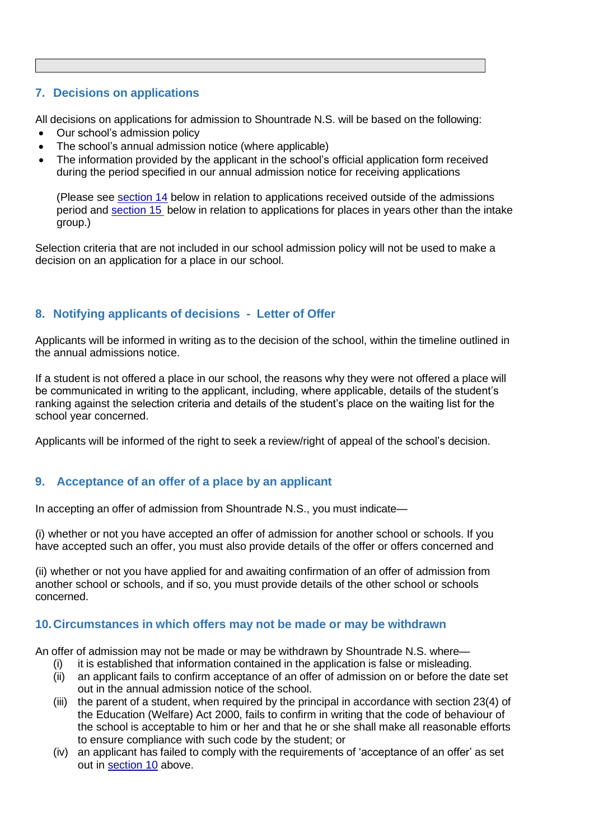#### **7. Decisions on applications**

All decisions on applications for admission to Shountrade N.S. will be based on the following:

- Our school's admission policy
- The school's annual admission notice (where applicable)
- The information provided by the applicant in the school's official application form received during the period specified in our annual admission notice for receiving applications

(Please see [section 14](#page-7-0) below in relation to applications received outside of the admissions period and [section](#page-7-1) 15 below in relation to applications for places in years other than the intake group.)

Selection criteria that are not included in our school admission policy will not be used to make a decision on an application for a place in our school.

#### **8. Notifying applicants of decisions - Letter of Offer**

Applicants will be informed in writing as to the decision of the school, within the timeline outlined in the annual admissions notice.

If a student is not offered a place in our school, the reasons why they were not offered a place will be communicated in writing to the applicant, including, where applicable, details of the student's ranking against the selection criteria and details of the student's place on the waiting list for the school year concerned.

Applicants will be informed of the right to seek a review/right of appeal of the school's decision.

#### <span id="page-5-0"></span>**9. Acceptance of an offer of a place by an applicant**

In accepting an offer of admission from Shountrade N.S., you must indicate—

(i) whether or not you have accepted an offer of admission for another school or schools. If you have accepted such an offer, you must also provide details of the offer or offers concerned and

(ii) whether or not you have applied for and awaiting confirmation of an offer of admission from another school or schools, and if so, you must provide details of the other school or schools concerned.

#### **10.Circumstances in which offers may not be made or may be withdrawn**

An offer of admission may not be made or may be withdrawn by Shountrade N.S. where—

- (i) it is established that information contained in the application is false or misleading.
- (ii) an applicant fails to confirm acceptance of an offer of admission on or before the date set out in the annual admission notice of the school.
- (iii) the parent of a student, when required by the principal in accordance with section 23(4) of the Education (Welfare) Act 2000, fails to confirm in writing that the code of behaviour of the school is acceptable to him or her and that he or she shall make all reasonable efforts to ensure compliance with such code by the student; or
- (iv) an applicant has failed to comply with the requirements of 'acceptance of an offer' as set out in [section 10](#page-5-0) above.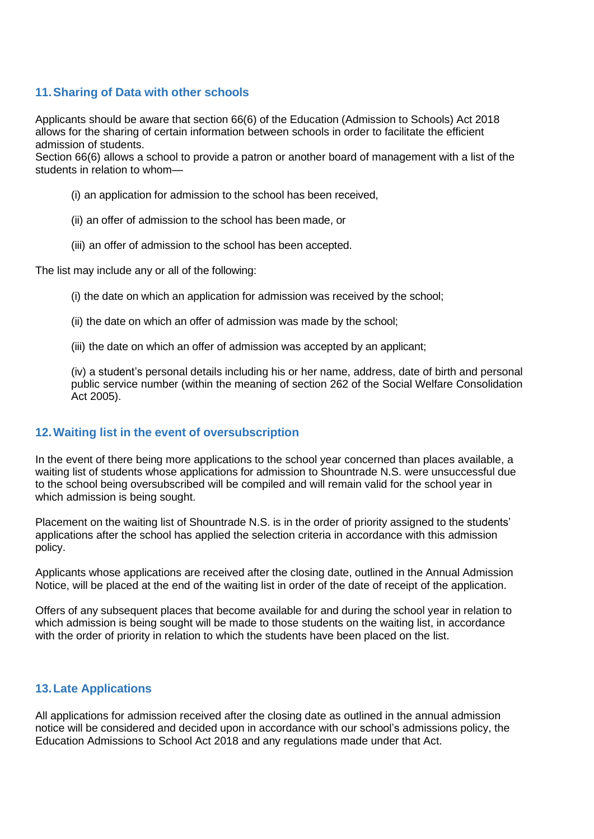#### **11.Sharing of Data with other schools**

Applicants should be aware that section 66(6) of the Education (Admission to Schools) Act 2018 allows for the sharing of certain information between schools in order to facilitate the efficient admission of students.

Section 66(6) allows a school to provide a patron or another board of management with a list of the students in relation to whom—

- (i) an application for admission to the school has been received,
- (ii) an offer of admission to the school has been made, or
- (iii) an offer of admission to the school has been accepted.

The list may include any or all of the following:

- (i) the date on which an application for admission was received by the school;
- (ii) the date on which an offer of admission was made by the school;
- (iii) the date on which an offer of admission was accepted by an applicant;

(iv) a student's personal details including his or her name, address, date of birth and personal public service number (within the meaning of section 262 of the Social Welfare Consolidation Act 2005).

#### **12.Waiting list in the event of oversubscription**

In the event of there being more applications to the school year concerned than places available, a waiting list of students whose applications for admission to Shountrade N.S. were unsuccessful due to the school being oversubscribed will be compiled and will remain valid for the school year in which admission is being sought.

Placement on the waiting list of Shountrade N.S. is in the order of priority assigned to the students' applications after the school has applied the selection criteria in accordance with this admission policy.

Applicants whose applications are received after the closing date, outlined in the Annual Admission Notice, will be placed at the end of the waiting list in order of the date of receipt of the application.

Offers of any subsequent places that become available for and during the school year in relation to which admission is being sought will be made to those students on the waiting list, in accordance with the order of priority in relation to which the students have been placed on the list.

#### **13.Late Applications**

All applications for admission received after the closing date as outlined in the annual admission notice will be considered and decided upon in accordance with our school's admissions policy, the Education Admissions to School Act 2018 and any regulations made under that Act.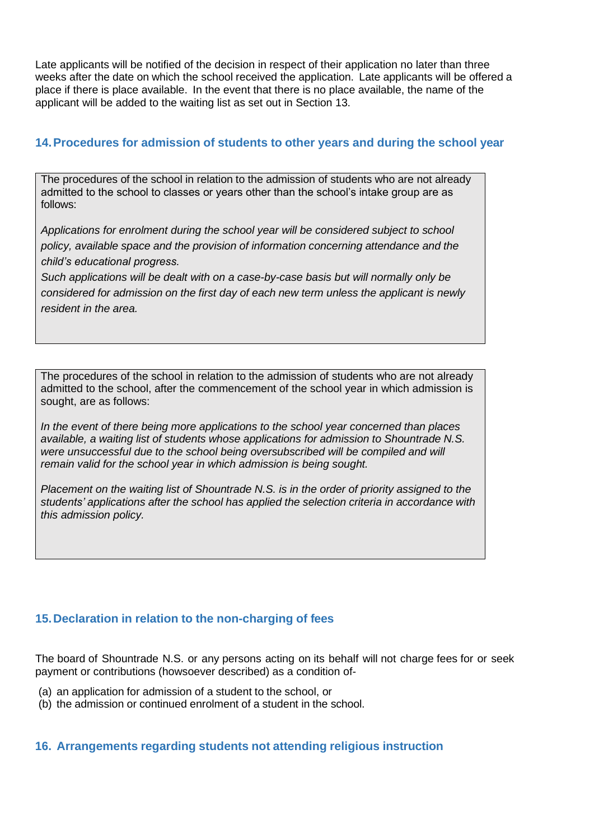Late applicants will be notified of the decision in respect of their application no later than three weeks after the date on which the school received the application. Late applicants will be offered a place if there is place available. In the event that there is no place available, the name of the applicant will be added to the waiting list as set out in Section 13.

#### <span id="page-7-0"></span>**14.Procedures for admission of students to other years and during the school year**

The procedures of the school in relation to the admission of students who are not already admitted to the school to classes or years other than the school's intake group are as follows:

*Applications for enrolment during the school year will be considered subject to school policy, available space and the provision of information concerning attendance and the child's educational progress.*

*Such applications will be dealt with on a case-by-case basis but will normally only be considered for admission on the first day of each new term unless the applicant is newly resident in the area.*

The procedures of the school in relation to the admission of students who are not already admitted to the school, after the commencement of the school year in which admission is sought, are as follows:

*In the event of there being more applications to the school year concerned than places available, a waiting list of students whose applications for admission to Shountrade N.S.*  were unsuccessful due to the school being oversubscribed will be compiled and will *remain valid for the school year in which admission is being sought.*

*Placement on the waiting list of Shountrade N.S. is in the order of priority assigned to the students' applications after the school has applied the selection criteria in accordance with this admission policy.*

#### <span id="page-7-1"></span>**15.Declaration in relation to the non-charging of fees**

The board of Shountrade N.S. or any persons acting on its behalf will not charge fees for or seek payment or contributions (howsoever described) as a condition of-

- (a) an application for admission of a student to the school, or
- (b) the admission or continued enrolment of a student in the school.

#### **16. Arrangements regarding students not attending religious instruction**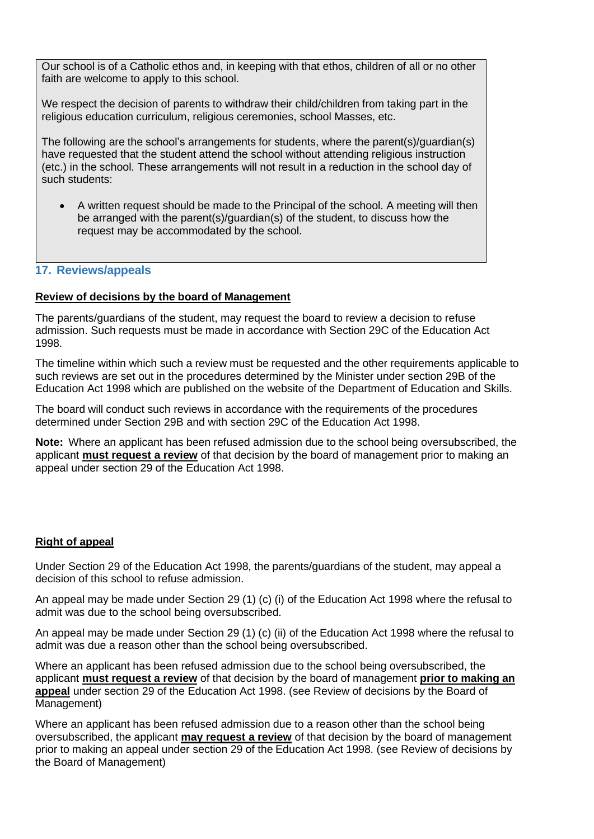Our school is of a Catholic ethos and, in keeping with that ethos, children of all or no other faith are welcome to apply to this school.

We respect the decision of parents to withdraw their child/children from taking part in the religious education curriculum, religious ceremonies, school Masses, etc.

The following are the school's arrangements for students, where the parent(s)/guardian(s) have requested that the student attend the school without attending religious instruction (etc.) in the school. These arrangements will not result in a reduction in the school day of such students:

• A written request should be made to the Principal of the school. A meeting will then be arranged with the parent(s)/guardian(s) of the student, to discuss how the request may be accommodated by the school.

#### **17. Reviews/appeals**

#### **Review of decisions by the board of Management**

The parents/guardians of the student, may request the board to review a decision to refuse admission. Such requests must be made in accordance with Section 29C of the Education Act 1998.

The timeline within which such a review must be requested and the other requirements applicable to such reviews are set out in the procedures determined by the Minister under section 29B of the Education Act 1998 which are published on the website of the Department of Education and Skills.

The board will conduct such reviews in accordance with the requirements of the procedures determined under Section 29B and with section 29C of the Education Act 1998.

**Note:** Where an applicant has been refused admission due to the school being oversubscribed, the applicant **must request a review** of that decision by the board of management prior to making an appeal under section 29 of the Education Act 1998.

#### **Right of appeal**

Under Section 29 of the Education Act 1998, the parents/guardians of the student, may appeal a decision of this school to refuse admission.

An appeal may be made under Section 29 (1) (c) (i) of the Education Act 1998 where the refusal to admit was due to the school being oversubscribed.

An appeal may be made under Section 29 (1) (c) (ii) of the Education Act 1998 where the refusal to admit was due a reason other than the school being oversubscribed.

Where an applicant has been refused admission due to the school being oversubscribed, the applicant **must request a review** of that decision by the board of management **prior to making an appeal** under section 29 of the Education Act 1998. (see Review of decisions by the Board of Management)

Where an applicant has been refused admission due to a reason other than the school being oversubscribed, the applicant **may request a review** of that decision by the board of management prior to making an appeal under section 29 of the Education Act 1998. (see Review of decisions by the Board of Management)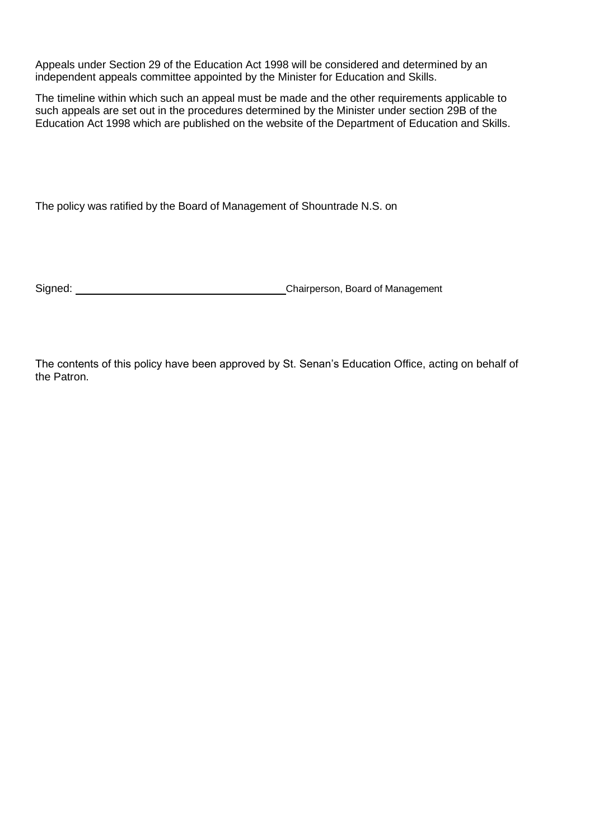Appeals under Section 29 of the Education Act 1998 will be considered and determined by an independent appeals committee appointed by the Minister for Education and Skills.

The timeline within which such an appeal must be made and the other requirements applicable to such appeals are set out in the procedures determined by the Minister under section 29B of the Education Act 1998 which are published on the website of the Department of Education and Skills.

The policy was ratified by the Board of Management of Shountrade N.S. on

Signed: Chairperson, Board of Management

The contents of this policy have been approved by St. Senan's Education Office, acting on behalf of the Patron.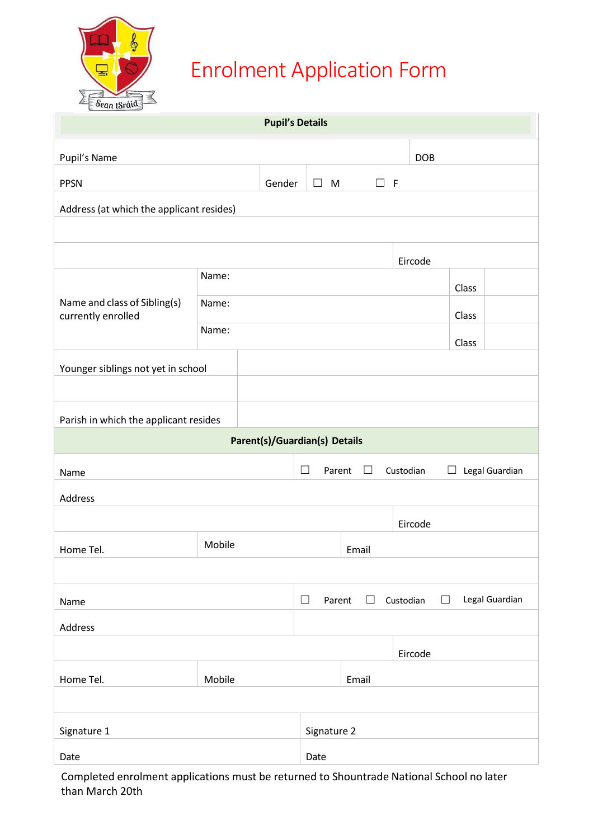

## Enrolment Application Form

| $-$ antion-<br><b>Pupil's Details</b>              |                                      |                                                                |                      |                     |       |                |  |  |
|----------------------------------------------------|--------------------------------------|----------------------------------------------------------------|----------------------|---------------------|-------|----------------|--|--|
| Pupil's Name                                       |                                      |                                                                | <b>DOB</b>           |                     |       |                |  |  |
| <b>PPSN</b><br>Gender                              |                                      |                                                                | $\Box$ M<br>$\Box$ F |                     |       |                |  |  |
| Address (at which the applicant resides)           |                                      |                                                                |                      |                     |       |                |  |  |
|                                                    |                                      |                                                                |                      |                     |       |                |  |  |
|                                                    | Eircode                              |                                                                |                      |                     |       |                |  |  |
| Name and class of Sibling(s)<br>currently enrolled | Name:<br>Class                       |                                                                |                      |                     |       |                |  |  |
|                                                    | Name:                                |                                                                |                      |                     | Class |                |  |  |
|                                                    | Name:<br>Class                       |                                                                |                      |                     |       |                |  |  |
| Younger siblings not yet in school                 |                                      |                                                                |                      |                     |       |                |  |  |
|                                                    |                                      |                                                                |                      |                     |       |                |  |  |
| Parish in which the applicant resides              |                                      |                                                                |                      |                     |       |                |  |  |
|                                                    | <b>Parent(s)/Guardian(s) Details</b> |                                                                |                      |                     |       |                |  |  |
| Name                                               |                                      | $\Box$<br>Legal Guardian<br>Parent<br>$\Box$<br>Custodian<br>⊔ |                      |                     |       |                |  |  |
| Address                                            |                                      |                                                                |                      |                     |       |                |  |  |
|                                                    |                                      | Eircode                                                        |                      |                     |       |                |  |  |
| Home Tel.                                          | Mobile<br>Email                      |                                                                |                      |                     |       |                |  |  |
|                                                    |                                      |                                                                |                      |                     |       |                |  |  |
| Name                                               |                                      | $\Box$<br>Parent                                               | $\Box$               | Custodian<br>$\Box$ |       | Legal Guardian |  |  |
| Address                                            |                                      |                                                                |                      |                     |       |                |  |  |
|                                                    |                                      |                                                                | Eircode              |                     |       |                |  |  |
| Home Tel.                                          | Mobile                               |                                                                | Email                |                     |       |                |  |  |
|                                                    |                                      |                                                                |                      |                     |       |                |  |  |
| Signature 1                                        |                                      |                                                                | Signature 2          |                     |       |                |  |  |
| Date                                               |                                      | Date                                                           |                      |                     |       |                |  |  |

Completed enrolment applications must be returned to Shountrade National School no later than March 20th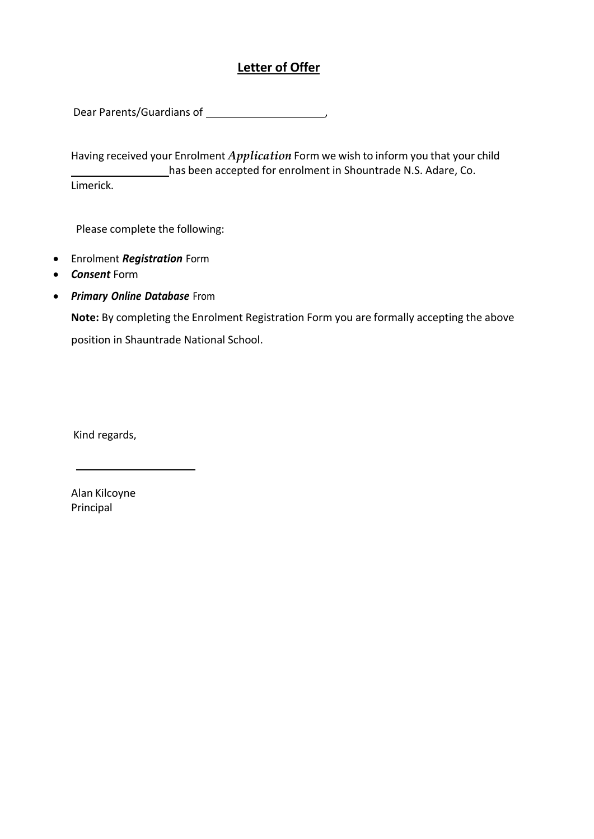#### **Letter of Offer**

Dear Parents/Guardians of ,

Having received your Enrolment *Application* Form we wish to inform you that your child has been accepted for enrolment in Shountrade N.S. Adare, Co. Limerick.

Please complete the following:

- Enrolment *Registration* Form
- *Consent* Form
- *Primary Online Database* From

**Note:** By completing the Enrolment Registration Form you are formally accepting the above position in Shauntrade National School.

Kind regards,

Alan Kilcoyne Principal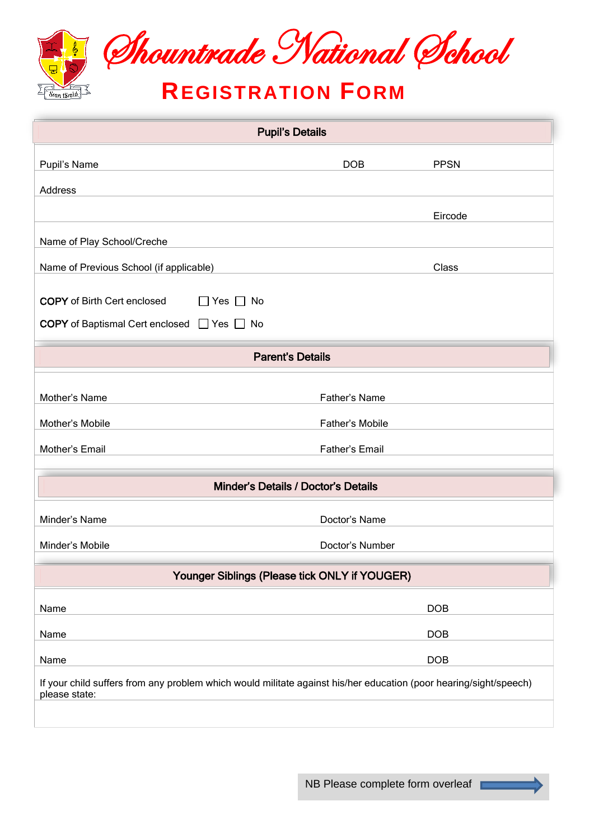

| <b>Pupil's Details</b>                                                                                                             |                 |             |  |  |  |  |  |
|------------------------------------------------------------------------------------------------------------------------------------|-----------------|-------------|--|--|--|--|--|
| Pupil's Name                                                                                                                       | <b>DOB</b>      | <b>PPSN</b> |  |  |  |  |  |
| <b>Address</b>                                                                                                                     |                 |             |  |  |  |  |  |
|                                                                                                                                    |                 | Eircode     |  |  |  |  |  |
| Name of Play School/Creche                                                                                                         |                 |             |  |  |  |  |  |
| Name of Previous School (if applicable)                                                                                            |                 | Class       |  |  |  |  |  |
| <b>COPY</b> of Birth Cert enclosed<br>$\Box$ Yes [<br>No                                                                           |                 |             |  |  |  |  |  |
| COPY of Baptismal Cert enclosed □ Yes □ No                                                                                         |                 |             |  |  |  |  |  |
|                                                                                                                                    |                 |             |  |  |  |  |  |
| <b>Parent's Details</b>                                                                                                            |                 |             |  |  |  |  |  |
| Mother's Name                                                                                                                      | Father's Name   |             |  |  |  |  |  |
| Mother's Mobile                                                                                                                    | Father's Mobile |             |  |  |  |  |  |
| Mother's Email                                                                                                                     | Father's Email  |             |  |  |  |  |  |
| Minder's Details / Doctor's Details                                                                                                |                 |             |  |  |  |  |  |
| Minder's Name                                                                                                                      | Doctor's Name   |             |  |  |  |  |  |
| Minder's Mobile                                                                                                                    | Doctor's Number |             |  |  |  |  |  |
| Younger Siblings (Please tick ONLY if YOUGER)                                                                                      |                 |             |  |  |  |  |  |
| Name                                                                                                                               |                 | <b>DOB</b>  |  |  |  |  |  |
| Name                                                                                                                               |                 | <b>DOB</b>  |  |  |  |  |  |
| Name                                                                                                                               |                 | DOB         |  |  |  |  |  |
| If your child suffers from any problem which would militate against his/her education (poor hearing/sight/speech)<br>please state: |                 |             |  |  |  |  |  |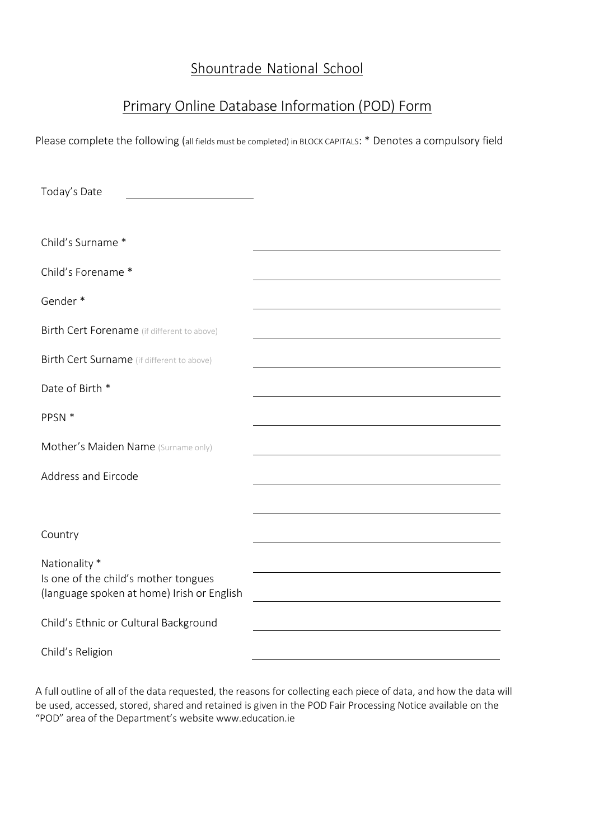### Shountrade National School

### Primary Online Database Information (POD) Form

Please complete the following (all fields must be completed) in BLOCK CAPITALS: \* Denotes a compulsory field

| Today's Date                                                                       |  |
|------------------------------------------------------------------------------------|--|
|                                                                                    |  |
| Child's Surname *                                                                  |  |
| Child's Forename *                                                                 |  |
| Gender*                                                                            |  |
| Birth Cert Forename (if different to above)                                        |  |
| Birth Cert Surname (if different to above)                                         |  |
| Date of Birth *                                                                    |  |
| PPSN *                                                                             |  |
| Mother's Maiden Name (Surname only)                                                |  |
| Address and Eircode                                                                |  |
|                                                                                    |  |
| Country                                                                            |  |
| Nationality *                                                                      |  |
| Is one of the child's mother tongues<br>(language spoken at home) Irish or English |  |
| Child's Ethnic or Cultural Background                                              |  |
| Child's Religion                                                                   |  |

A full outline of all of the data requested, the reasons for collecting each piece of data, and how the data will be used, accessed, stored, shared and retained is given in the POD Fair Processing Notice available on the "POD" area of the Department's website [www.education.ie](http://www.education.ie/)